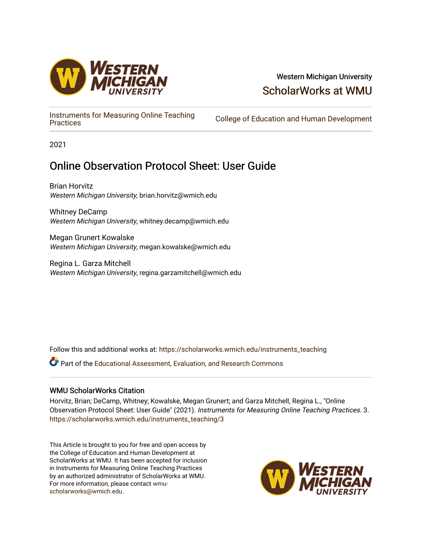

# Western Michigan University [ScholarWorks at WMU](https://scholarworks.wmich.edu/)

[Instruments for Measuring Online Teaching](https://scholarworks.wmich.edu/instruments_teaching) 

College of Education and Human Development

2021

# Online Observation Protocol Sheet: User Guide

Brian Horvitz Western Michigan University, brian.horvitz@wmich.edu

Whitney DeCamp Western Michigan University, whitney.decamp@wmich.edu

Megan Grunert Kowalske Western Michigan University, megan.kowalske@wmich.edu

Regina L. Garza Mitchell Western Michigan University, regina.garzamitchell@wmich.edu

Follow this and additional works at: [https://scholarworks.wmich.edu/instruments\\_teaching](https://scholarworks.wmich.edu/instruments_teaching?utm_source=scholarworks.wmich.edu%2Finstruments_teaching%2F3&utm_medium=PDF&utm_campaign=PDFCoverPages)

Part of the [Educational Assessment, Evaluation, and Research Commons](http://network.bepress.com/hgg/discipline/796?utm_source=scholarworks.wmich.edu%2Finstruments_teaching%2F3&utm_medium=PDF&utm_campaign=PDFCoverPages)

## WMU ScholarWorks Citation

Horvitz, Brian; DeCamp, Whitney; Kowalske, Megan Grunert; and Garza Mitchell, Regina L., "Online Observation Protocol Sheet: User Guide" (2021). Instruments for Measuring Online Teaching Practices. 3. [https://scholarworks.wmich.edu/instruments\\_teaching/3](https://scholarworks.wmich.edu/instruments_teaching/3?utm_source=scholarworks.wmich.edu%2Finstruments_teaching%2F3&utm_medium=PDF&utm_campaign=PDFCoverPages)

This Article is brought to you for free and open access by the College of Education and Human Development at ScholarWorks at WMU. It has been accepted for inclusion in Instruments for Measuring Online Teaching Practices by an authorized administrator of ScholarWorks at WMU. For more information, please contact [wmu](mailto:wmu-scholarworks@wmich.edu)[scholarworks@wmich.edu.](mailto:wmu-scholarworks@wmich.edu)

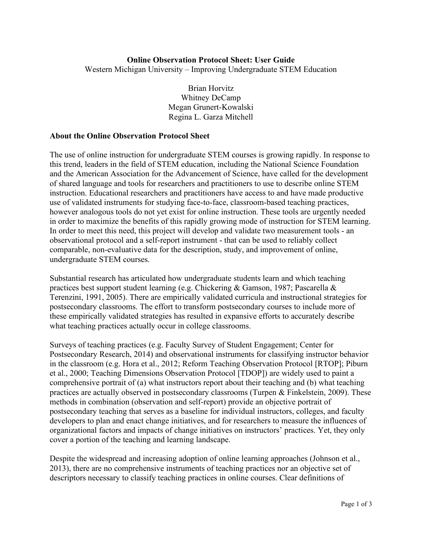### **Online Observation Protocol Sheet: User Guide**

Western Michigan University – Improving Undergraduate STEM Education

Brian Horvitz Whitney DeCamp Megan Grunert-Kowalski Regina L. Garza Mitchell

#### **About the Online Observation Protocol Sheet**

The use of online instruction for undergraduate STEM courses is growing rapidly. In response to this trend, leaders in the field of STEM education, including the National Science Foundation and the American Association for the Advancement of Science, have called for the development of shared language and tools for researchers and practitioners to use to describe online STEM instruction. Educational researchers and practitioners have access to and have made productive use of validated instruments for studying face-to-face, classroom-based teaching practices, however analogous tools do not yet exist for online instruction. These tools are urgently needed in order to maximize the benefits of this rapidly growing mode of instruction for STEM learning. In order to meet this need, this project will develop and validate two measurement tools - an observational protocol and a self-report instrument - that can be used to reliably collect comparable, non-evaluative data for the description, study, and improvement of online, undergraduate STEM courses.

Substantial research has articulated how undergraduate students learn and which teaching practices best support student learning (e.g. Chickering & Gamson, 1987; Pascarella & Terenzini, 1991, 2005). There are empirically validated curricula and instructional strategies for postsecondary classrooms. The effort to transform postsecondary courses to include more of these empirically validated strategies has resulted in expansive efforts to accurately describe what teaching practices actually occur in college classrooms.

Surveys of teaching practices (e.g. Faculty Survey of Student Engagement; Center for Postsecondary Research, 2014) and observational instruments for classifying instructor behavior in the classroom (e.g. Hora et al., 2012; Reform Teaching Observation Protocol [RTOP]; Piburn et al., 2000; Teaching Dimensions Observation Protocol [TDOP]) are widely used to paint a comprehensive portrait of (a) what instructors report about their teaching and (b) what teaching practices are actually observed in postsecondary classrooms (Turpen & Finkelstein, 2009). These methods in combination (observation and self-report) provide an objective portrait of postsecondary teaching that serves as a baseline for individual instructors, colleges, and faculty developers to plan and enact change initiatives, and for researchers to measure the influences of organizational factors and impacts of change initiatives on instructors' practices. Yet, they only cover a portion of the teaching and learning landscape.

Despite the widespread and increasing adoption of online learning approaches (Johnson et al., 2013), there are no comprehensive instruments of teaching practices nor an objective set of descriptors necessary to classify teaching practices in online courses. Clear definitions of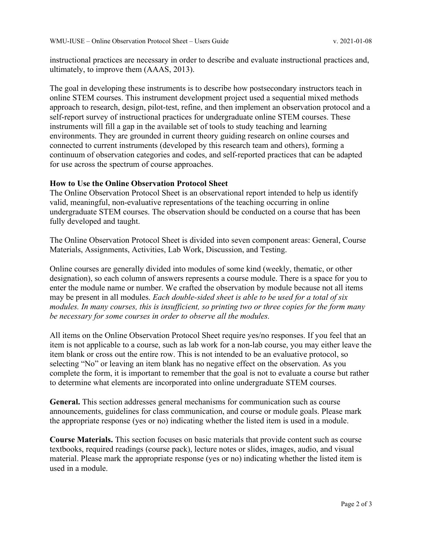instructional practices are necessary in order to describe and evaluate instructional practices and, ultimately, to improve them (AAAS, 2013).

The goal in developing these instruments is to describe how postsecondary instructors teach in online STEM courses. This instrument development project used a sequential mixed methods approach to research, design, pilot-test, refine, and then implement an observation protocol and a self-report survey of instructional practices for undergraduate online STEM courses. These instruments will fill a gap in the available set of tools to study teaching and learning environments. They are grounded in current theory guiding research on online courses and connected to current instruments (developed by this research team and others), forming a continuum of observation categories and codes, and self-reported practices that can be adapted for use across the spectrum of course approaches.

#### **How to Use the Online Observation Protocol Sheet**

The Online Observation Protocol Sheet is an observational report intended to help us identify valid, meaningful, non-evaluative representations of the teaching occurring in online undergraduate STEM courses. The observation should be conducted on a course that has been fully developed and taught.

The Online Observation Protocol Sheet is divided into seven component areas: General, Course Materials, Assignments, Activities, Lab Work, Discussion, and Testing.

Online courses are generally divided into modules of some kind (weekly, thematic, or other designation), so each column of answers represents a course module. There is a space for you to enter the module name or number. We crafted the observation by module because not all items may be present in all modules. *Each double-sided sheet is able to be used for a total of six modules. In many courses, this is insufficient, so printing two or three copies for the form many be necessary for some courses in order to observe all the modules.*

All items on the Online Observation Protocol Sheet require yes/no responses. If you feel that an item is not applicable to a course, such as lab work for a non-lab course, you may either leave the item blank or cross out the entire row. This is not intended to be an evaluative protocol, so selecting "No" or leaving an item blank has no negative effect on the observation. As you complete the form, it is important to remember that the goal is not to evaluate a course but rather to determine what elements are incorporated into online undergraduate STEM courses.

**General.** This section addresses general mechanisms for communication such as course announcements, guidelines for class communication, and course or module goals. Please mark the appropriate response (yes or no) indicating whether the listed item is used in a module.

**Course Materials.** This section focuses on basic materials that provide content such as course textbooks, required readings (course pack), lecture notes or slides, images, audio, and visual material. Please mark the appropriate response (yes or no) indicating whether the listed item is used in a module.